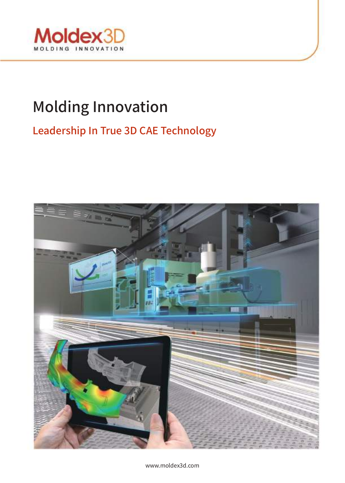

# Molding Innovation

# Leadership In True 3D CAE Technology



www.moldex3d.com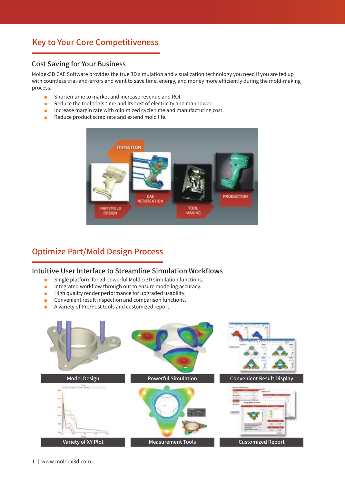# Key to Your Core Competitiveness

#### Cost Saving for Your Business

Moldex3D CAE Software provides the true 3D simulation and visualization technology you need if you are fed up with countless trial-and-errors and want to save time, energy, and money more efficiently during the mold-making process.

- Shorten time to market and increase revenue and ROI.
- Reduce the tool trials time and its cost of electricity and manpower.
- Increase margin rate with minimized cycle time and manufacturing cost.
- Reduce product scrap rate and extend mold life.



# Optimize Part/Mold Design Process

#### Intuitive User Interface to Streamline Simulation Workflows

- Single platform for all powerful Moldex3D simulation functions.
- Integrated workflow through out to ensure modeling accuracy.
- High quality render performance for upgraded usability.
- Convenient result inspection and comparison functions.
- A variety of Pre/Post tools and customized report.

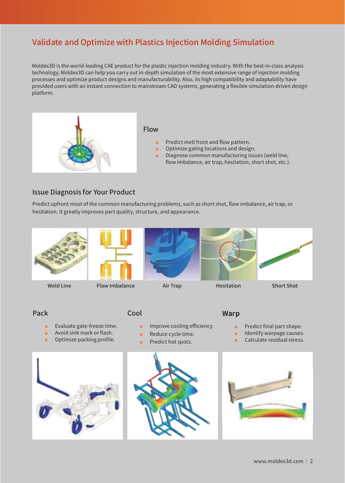# Validate and Optimize with Plastics Injection Molding Simulation

Moldex3D is the world-leading CAE product for the plastic injection molding industry. With the best-in-class analysis technology, Moldex3D can help you carry out in-depth simulation of the most extensive range of injection molding processes and optimize product designs and manufacturability. Also, its high compatibility and adaptability have provided users with an instant connection to mainstream CAD systems, generating a flexible simulation-driven design platform.



#### Issue Diagnosis for Your Product

Predict upfront most of the common manufacturing problems, such as short shot, flow imbalance, air trap, or hesitation. It greatly improves part quality, structure, and appearance.





Weld Line Flow Imbalance Air Trap Hesitation Short Shot





#### Pack

#### Cool

- **■** Improve cooling efficiency.
- Evaluate gate-freeze time. ■ Avoid sink mark or flash.
- Optimize packing profile.
- 
- Reduce cycle time.
	- Predict hot spots.
- **Warp**
	- Predict final part shape.
	- Identify warpage causes.
	- Calculate residual stress.





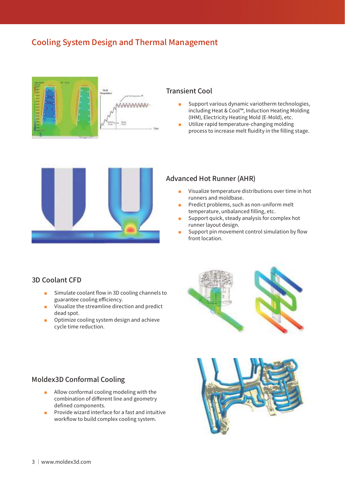# Cooling System Design and Thermal Management



#### Transient Cool

- Support various dynamic variotherm technologies, including Heat & Cool™, Induction Heating Molding (IHM), Electricity Heating Mold (E-Mold), etc.
- Utilize rapid temperature-changing molding process to increase melt fluidity in the filling stage.



#### Advanced Hot Runner (AHR)

- Visualize temperature distributions over time in hot runners and moldbase.
- Predict problems, such as non-uniform melt temperature, unbalanced filling, etc.
- Support quick, steady analysis for complex hot runner layout design.
- Support pin movement control simulation by flow front location.

#### 3D Coolant CFD

- Simulate coolant flow in 3D cooling channels to guarantee cooling efficiency.
- Visualize the streamline direction and predict dead spot.
- Optimize cooling system design and achieve cycle time reduction.



## Moldex3D Conformal Cooling

- Allow conformal cooling modeling with the combination of different line and geometry defined components.
- Provide wizard interface for a fast and intuitive workflow to build complex cooling system.

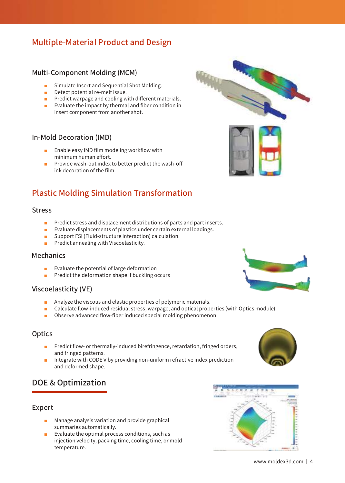# Multiple-Material Product and Design

#### Multi-Component Molding (MCM)

- Simulate Insert and Sequential Shot Molding.
- Detect potential re-melt issue.<br>■ Predict warpage and cooling w
- Predict warpage and cooling with different materials.<br>■ Fyaluate the impact by thermal and fiber condition in
- Evaluate the impact by thermal and fiber condition in
- insert component from another shot.

#### In-Mold Decoration (IMD)

- Enable easy IMD film modeling workflow with minimum human effort.
- Provide wash-out index to better predict the wash-off ink decoration of the film.

# Plastic Molding Simulation Transformation

#### **Stress**

- Predict stress and displacement distributions of parts and part inserts.
- Evaluate displacements of plastics under certain external loadings.
- Support FSI (Fluid-structure interaction) calculation.
- Predict annealing with Viscoelasticity.

#### **Mechanics**

- Evaluate the potential of large deformation
- Predict the deformation shape if buckling occurs

#### Viscoelasticity (VE)

- Analyze the viscous and elastic properties of polymeric materials.
- Calculate flow-induced residual stress, warpage, and optical properties (with Optics module).
- Observe advanced flow-fiber induced special molding phenomenon.

#### **Optics**

- Predict flow- or thermally-induced birefringence, retardation, fringed orders, and fringed patterns.
- Integrate with CODE V by providing non-uniform refractive index prediction and deformed shape.

# DOE & Optimization

#### Expert

- Manage analysis variation and provide graphical summaries automatically.
- Evaluate the optimal process conditions, such as injection velocity, packing time, cooling time, or mold temperature.







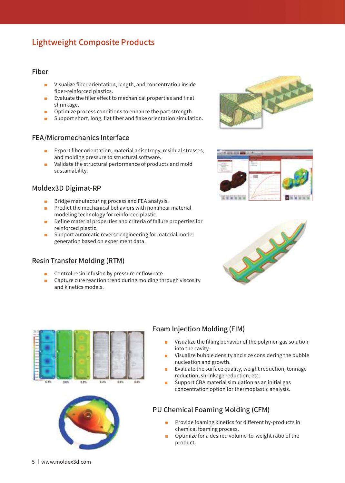# Lightweight Composite Products

#### Fiber

- Visualize fiber orientation, length, and concentration inside fiber-reinforced plastics.
- Evaluate the filler effect to mechanical properties and final shrinkage.
- Optimize process conditions to enhance the part strength.
- Support short, long, flat fiber and flake orientation simulation.

## FEA/Micromechanics Interface

- Export fiber orientation, material anisotropy, residual stresses, and molding pressure to structural software.
- Validate the structural performance of products and mold sustainability.

## Moldex3D Digimat-RP

- Bridge manufacturing process and FEA analysis.
- Predict the mechanical behaviors with nonlinear material modeling technology for reinforced plastic.
- Define material properties and criteria of failure properties for reinforced plastic.
- Support automatic reverse engineering for material model generation based on experiment data.

## Resin Transfer Molding (RTM)

- Control resin infusion by pressure or flow rate.
- Capture cure reaction trend during molding through viscosity and kinetics models.











## Foam Injection Molding (FIM)

- Visualize the filling behavior of the polymer-gas solution into the cavity.
- Visualize bubble density and size considering the bubble nucleation and growth.
- Evaluate the surface quality, weight reduction, tonnage reduction, shrinkage reduction, etc.
- Support CBA material simulation as an initial gas concentration option for thermoplastic analysis.

# PU Chemical Foaming Molding (CFM)

- Provide foaming kinetics for different by-products in chemical foaming process.
- Optimize for a desired volume-to-weight ratio of the product.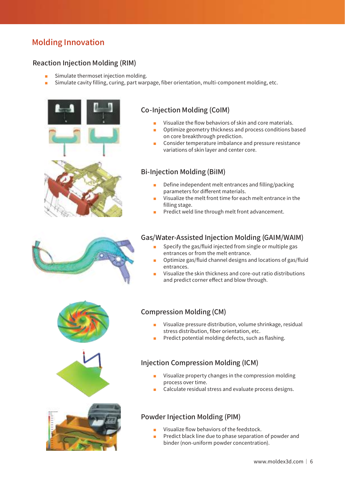# Molding Innovation

## Reaction Injection Molding (RIM)

- Simulate thermoset injection molding.
- Simulate cavity filling, curing, part warpage, fiber orientation, multi-component molding, etc.



## Co-Injection Molding (CoIM)

- Visualize the flow behaviors of skin and core materials.
- Optimize geometry thickness and process conditions based on core breakthrough prediction.
- Consider temperature imbalance and pressure resistance variations of skin layer and center core.

## Bi-Injection Molding (BiIM)

- Define independent melt entrances and filling/packing parameters for different materials.
- Visualize the melt front time for each melt entrance in the filling stage.
- Predict weld line through melt front advancement.



## Gas/Water-Assisted Injection Molding (GAIM/WAIM)

- Specify the gas/fluid injected from single or multiple gas entrances or from the melt entrance.
- Optimize gas/fluid channel designs and locations of gas/fluid entrances.
- Visualize the skin thickness and core-out ratio distributions and predict corner effect and blow through.







# Compression Molding (CM)

- Visualize pressure distribution, volume shrinkage, residual stress distribution, fiber orientation, etc.
- Predict potential molding defects, such as flashing.

## Injection Compression Molding (ICM)

- Visualize property changes in the compression molding process over time.
- Calculate residual stress and evaluate process designs.

## Powder Injection Molding (PIM)

- Visualize flow behaviors of the feedstock.
- Predict black line due to phase separation of powder and binder (non-uniform powder concentration).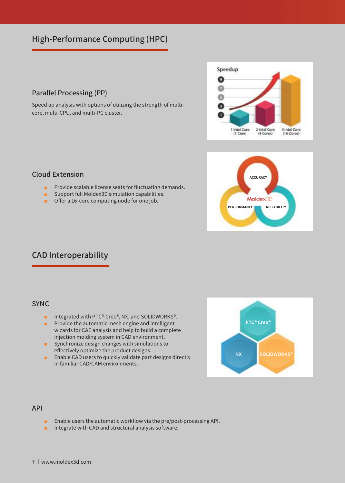# High-Performance Computing (HPC)

## Parallel Processing (PP)

Speed up analysis with options of utilizing the strength of multicore, multi-CPU, and multi-PC cluster.





## Cloud Extension

- Provide scalable license seats for fluctuating demands.
- Support full Moldex3D simulation capabilities.
- Offer a 16-core computing node for one job.

# CAD Interoperability

#### SYNC

- Integrated with PTC® Creo®, NX, and SOLIDWORKS®.
- Provide the automatic mesh engine and intelligent wizards for CAE analysis and help to build a complete injection molding system in CAD environment.
- Synchronize design changes with simulations to effectively optimize the product designs.
- Enable CAD users to quickly validate part designs directly in familiar CAD/CAM environments.



#### API

- Enable users the automatic workflow via the pre/post-processing API.
- Integrate with CAD and structural analysis software.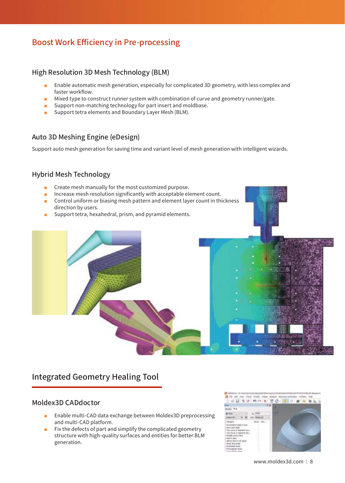# Boost Work Efficiency in Pre-processing

## High Resolution 3D Mesh Technology (BLM)

- Enable automatic mesh generation, especially for complicated 3D geometry, with less complex and faster workflow.
- Mixed type to construct runner system with combination of curve and geometry runner/gate.<br>■ Support non-matching technology for part insert and moldbase.
- Support non-matching technology for part insert and moldbase.<br>■ Support tetra elements and Boundary Laver Mesh (BI M).
- Support tetra elements and Boundary Layer Mesh (BLM).

## Auto 3D Meshing Engine (eDesign)

Support auto mesh generation for saving time and variant level of mesh generation with intelligent wizards.

## Hybrid Mesh Technology

- Create mesh manually for the most customized purpose.
- Increase mesh resolution significantly with acceptable element count.
- Control uniform or biasing mesh pattern and element layer count in thickness direction by users.
- Support tetra, hexahedral, prism, and pyramid elements.



# Integrated Geometry Healing Tool

#### Moldex3D CADdoctor

- Enable multi-CAD data exchange between Moldex3D preprocessing and multi-CAD platform.
- Fix the defects of part and simplify the complicated geometry structure with high-quality surfaces and entities for better BLM generation.

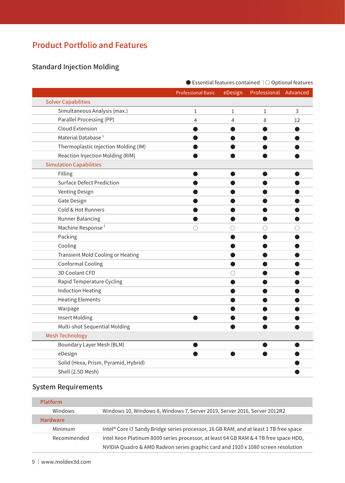# Product Portfolio and Features

# Standard Injection Molding

● Essential features contained |○ Optional features

|                                          | <b>Professional Basic</b> | eDesign | Professional | Advanced    |
|------------------------------------------|---------------------------|---------|--------------|-------------|
| <b>Solver Capabilities</b>               |                           |         |              |             |
| Simultaneous Analysis (max.)             | 1                         | 1       | $\mathbf{1}$ | $\mathsf 3$ |
| Parallel Processing (PP)                 | 4                         | 4       | 8            | 12          |
| <b>Cloud Extension</b>                   |                           |         |              |             |
| Material Database <sup>1</sup>           |                           |         |              |             |
| Thermoplastic Injection Molding (IM)     |                           |         |              |             |
| Reaction Injection Molding (RIM)         |                           |         |              |             |
| <b>Simulation Capabilities</b>           |                           |         |              |             |
| Filling                                  |                           |         |              |             |
| <b>Surface Defect Prediction</b>         |                           |         |              |             |
| <b>Venting Design</b>                    |                           |         |              |             |
| Gate Design                              |                           |         |              |             |
| Cold & Hot Runners                       |                           |         |              |             |
| <b>Runner Balancing</b>                  |                           |         |              |             |
| Machine Response <sup>2</sup>            | $\bigcirc$                | ( )     |              |             |
| Packing                                  |                           |         |              |             |
| Cooling                                  |                           |         |              |             |
| <b>Transient Mold Cooling or Heating</b> |                           |         |              |             |
| <b>Conformal Cooling</b>                 |                           |         |              |             |
| 3D Coolant CFD                           |                           | ( )     |              |             |
| Rapid Temperature Cycling                |                           |         |              |             |
| <b>Induction Heating</b>                 |                           |         |              |             |
| <b>Heating Elements</b>                  |                           |         |              |             |
| Warpage                                  |                           |         |              |             |
| Insert Molding                           |                           |         |              |             |
| Multi-shot Sequential Molding            |                           |         |              |             |
| <b>Mesh Technology</b>                   |                           |         |              |             |
| Boundary Layer Mesh (BLM)                |                           |         |              |             |
| eDesign                                  |                           |         |              |             |
| Solid (Hexa, Prism, Pyramid, Hybrid)     |                           |         |              |             |
| Shell (2.5D Mesh)                        |                           |         |              |             |

# System Requirements

| <b>Platform</b> |                                                                                       |
|-----------------|---------------------------------------------------------------------------------------|
| Windows         | Windows 10, Windows 8, Windows 7, Server 2019, Server 2016, Server 2012R2             |
| Hardware        |                                                                                       |
| Minimum         | Intel® Core i7 Sandy Bridge series processor, 16 GB RAM, and at least 1 TB free space |
| Recommended     | Intel Xeon Platinum 8000 series processor, at least 64 GB RAM & 4 TB free space HDD,  |
|                 | NVIDIA Quadro & AMD Radeon series graphic card and 1920 x 1080 screen resolution      |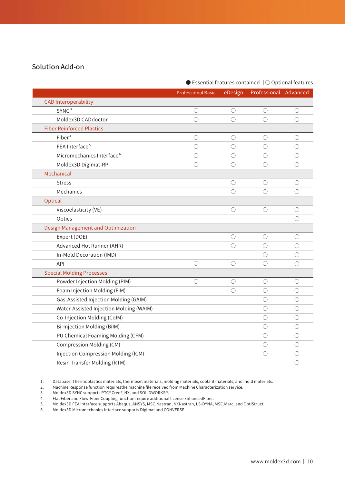## Solution Add-on

|                                         | <b>Professional Basic</b> | eDesign    | Professional Advanced |            |
|-----------------------------------------|---------------------------|------------|-----------------------|------------|
| <b>CAD Interoperability</b>             |                           |            |                       |            |
| SYNC <sup>3</sup>                       | $\bigcirc$                | $\bigcirc$ | $\bigcirc$            | $\bigcirc$ |
| Moldex3D CADdoctor                      | ◯                         | ◯          | ∩                     | $\bigcirc$ |
| <b>Fiber Reinforced Plastics</b>        |                           |            |                       |            |
| Fiber <sup>4</sup>                      | O                         | O          | O                     | $\bigcirc$ |
| FEA Interface <sup>5</sup>              | $\bigcirc$                | $\bigcirc$ | ∩                     | $\bigcirc$ |
| Micromechanics Interface <sup>6</sup>   | O                         | O          | ◯                     | O          |
| Moldex3D Digimat-RP                     | ∩                         | ∩          | ◯                     | O          |
| Mechanical                              |                           |            |                       |            |
| <b>Stress</b>                           |                           | O          | $\bigcirc$            | $\bigcirc$ |
| Mechanics                               |                           | ∩          | ◯                     | $\bigcirc$ |
| Optical                                 |                           |            |                       |            |
| Viscoelasticity (VE)                    |                           | ∩          | ◯                     | $\bigcirc$ |
| Optics                                  |                           |            |                       |            |
| Design Management and Optimization      |                           |            |                       |            |
| Expert (DOE)                            |                           | $\bigcirc$ | $\bigcirc$            | $\bigcirc$ |
| Advanced Hot Runner (AHR)               |                           | ∩          | O                     | O          |
| In-Mold Decoration (IMD)                |                           |            | ∩                     | ◯          |
| API                                     | ∩                         | ∩          | ∩                     | $\bigcirc$ |
| <b>Special Molding Processes</b>        |                           |            |                       |            |
| Powder Injection Molding (PIM)          | $\bigcirc$                | $\bigcirc$ | $\bigcirc$            | $\bigcirc$ |
| Foam Injection Molding (FIM)            |                           | ◯          | ◯                     | $\bigcirc$ |
| Gas-Assisted Injection Molding (GAIM)   |                           |            | ◯                     | $\bigcirc$ |
| Water-Assisted Injection Molding (WAIM) |                           |            | $\bigcirc$            | O          |
| Co-Injection Molding (CoIM)             |                           |            | ◯                     | O          |
| Bi-Injection Molding (BiIM)             |                           |            | ∩                     | O          |
| PU Chemical Foaming Molding (CFM)       |                           |            | ◯                     | O          |
| <b>Compression Molding (CM)</b>         |                           |            | $\bigcirc$            | $\bigcirc$ |
| Injection Compression Molding (ICM)     |                           |            | $\bigcirc$            | $\bigcirc$ |
| Resin Transfer Molding (RTM)            |                           |            |                       | $\bigcirc$ |

1. Database: Thermoplastics materials, thermoset materials, molding materials, coolant materials, and mold materials.<br>2. Machine Response function requiresthe machine file received from Machine Characterization service.

2. Machine Response function requiresthe machine file received from Machine Characterization service.<br>3. Moldex3D SYNC supports PTC® Creo®, NX, and SOLIDWORKS®.

3. Moldex3D SYNC supports PTC® Creo®, NX, and SOLIDWORKS ®.<br>4. Flat Fiber and Flow-Fiber Coupling function require additional

4. Flat Fiber and Flow-Fiber Coupling function require additional license EnhancedFiber.<br>5. Moldex3D FEA Interface supports Abaqus, ANSYS, MSC.Nastran, NXNastran, LS-DYNA, I

5. Moldex3D FEA Interface supports Abaqus, ANSYS, MSC.Nastran, NXNastran, LS-DYNA, MSC.Marc, and OptiStruct.<br>6. Moldex3D Micromechanics Interface supports Digimat and CONVERSE.

Moldex3D Micromechanics Interface supports Digimat and CONVERSE.